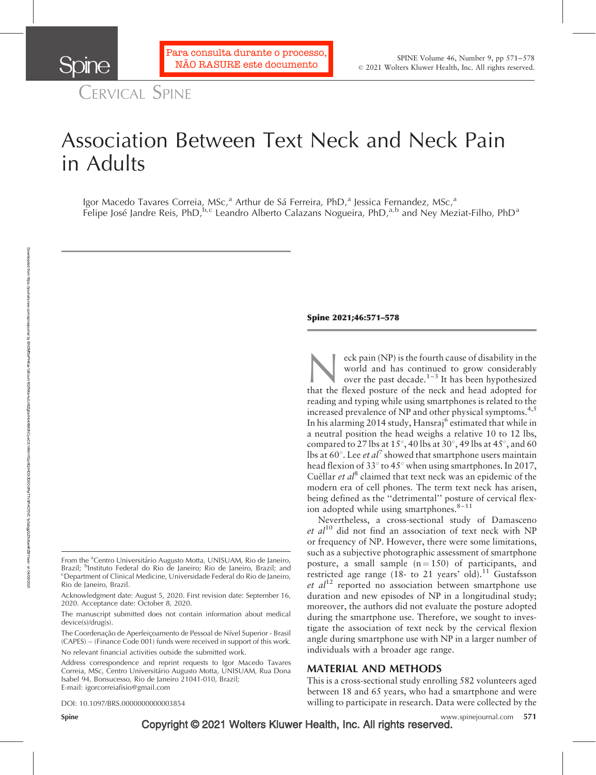CERVICAL SPINE

Sone

# Association Between Text Neck and Neck Pain in Adults

Igor Macedo Tavares Correia, MSc,<sup>a</sup> Arthur de Sá Ferreira, PhD,<sup>a</sup> Jessica Fernandez, MSc,<sup>a</sup> Felipe José Jandre Reis, PhD,<sup>b,c</sup> Leandro Alberto Calazans Nogueira, PhD,<sup>a,b</sup> and Ney Meziat-Filho, PhD<sup>a</sup>

Acknowledgment date: August 5, 2020. First revision date: September 16, 2020. Acceptance date: October 8, 2020.

The manuscript submitted does not contain information about medical device(s)/drug(s).

The Coordenação de Aperfeiçoamento de Pessoal de Nível Superior - Brasil (CAPES) – (Finance Code 001) funds were received in support of this work.

No relevant financial activities outside the submitted work.

DOI: 10.1097/BRS.0000000000003854

#### Spine 2021;46:571–578

eck pain (NP) is the fourth cause of disability in the world and has continued to grow considerably over the past decade.<sup>1-3</sup> It has been hypothesized that the flexed posture of the neck and head adopted for world and has continued to grow considerably over the past decade.<sup>1-3</sup> It has been hypothesized reading and typing while using smartphones is related to the increased prevalence of NP and other physical symptoms.<sup>4,5</sup> In his alarming 2014 study, Hansraj<sup>6</sup> estimated that while in a neutral position the head weighs a relative 10 to 12 lbs, compared to 27 lbs at 15 $^{\circ}$ , 40 lbs at 30 $^{\circ}$ , 49 lbs at 45 $^{\circ}$ , and 60 lbs at 60 $^{\circ}$ . Lee *et al*<sup>7</sup> showed that smartphone users maintain head flexion of 33 $\degree$  to 45 $\degree$  when using smartphones. In 2017, Cuéllar et  $al^8$  claimed that text neck was an epidemic of the modern era of cell phones. The term text neck has arisen, being defined as the ''detrimental'' posture of cervical flexion adopted while using smartphones. $8-11$ 

Nevertheless, a cross-sectional study of Damasceno et  $al^{10}$  did not find an association of text neck with NP or frequency of NP. However, there were some limitations, such as a subjective photographic assessment of smartphone posture, a small sample  $(n = 150)$  of participants, and restricted age range (18- to 21 years' old).<sup>11</sup> Gustafsson et  $al^{12}$  reported no association between smartphone use duration and new episodes of NP in a longitudinal study; moreover, the authors did not evaluate the posture adopted during the smartphone use. Therefore, we sought to investigate the association of text neck by the cervical flexion angle during smartphone use with NP in a larger number of individuals with a broader age range.

## MATERIAL AND METHODS

This is a cross-sectional study enrolling 582 volunteers aged between 18 and 65 years, who had a smartphone and were willing to participate in research. Data were collected by the

Spine **Copyright © 2021 Wolters Kluwer Health, Inc. All rights reserved.** We www.spinejournal.com 571

From the <sup>a</sup>Centro Universitário Augusto Motta, UNISUAM, Rio de Janeiro, Brazil; <sup>b</sup>Instituto Federal do Rio de Janeiro; Rio de Janeiro, Brazil; and contrario de la provincia de la provincia de la provincia de la provincia de la provincia de la provincia de la provincia de la provincia de la pr Department of Clinical Medicine, Universidade Federal do Rio de Janeiro, Rio de Janeiro, Brazil.

Address correspondence and reprint requests to Igor Macedo Tavares Correia, MSc, Centro Universita´rio Augusto Motta, UNISUAM, Rua Dona Isabel 94, Bonsucesso, Rio de Janeiro 21041-010, Brazil; E-mail: [igorcorreiafisio@gmail.com](mailto:igorcorreiafisio@gmail.com)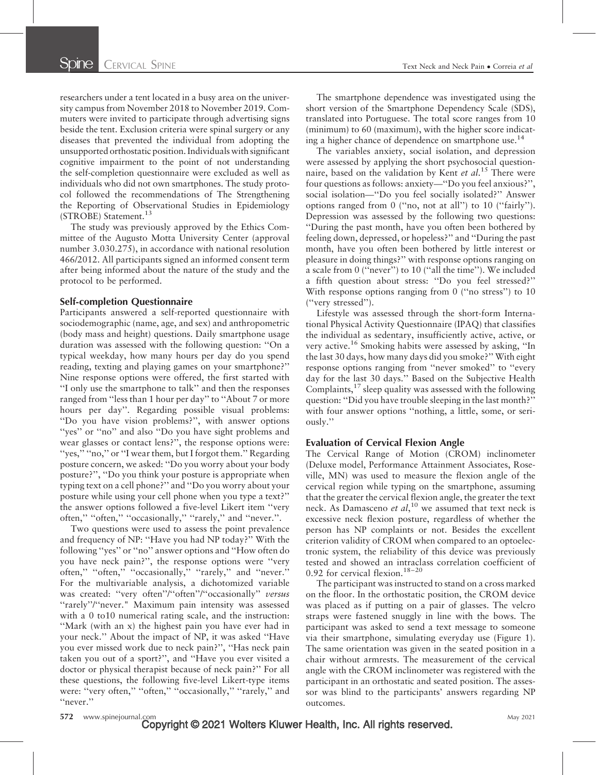researchers under a tent located in a busy area on the university campus from November 2018 to November 2019. Commuters were invited to participate through advertising signs beside the tent. Exclusion criteria were spinal surgery or any diseases that prevented the individual from adopting the unsupported orthostatic position. Individuals with significant cognitive impairment to the point of not understanding the self-completion questionnaire were excluded as well as individuals who did not own smartphones. The study protocol followed the recommendations of The Strengthening the Reporting of Observational Studies in Epidemiology (STROBE) Statement.<sup>13</sup>

The study was previously approved by the Ethics Committee of the Augusto Motta University Center (approval number 3.030.275), in accordance with national resolution 466/2012. All participants signed an informed consent term after being informed about the nature of the study and the protocol to be performed.

#### Self-completion Questionnaire

Participants answered a self-reported questionnaire with sociodemographic (name, age, and sex) and anthropometric (body mass and height) questions. Daily smartphone usage duration was assessed with the following question: ''On a typical weekday, how many hours per day do you spend reading, texting and playing games on your smartphone?'' Nine response options were offered, the first started with ''I only use the smartphone to talk'' and then the responses ranged from "less than 1 hour per day" to "About 7 or more hours per day''. Regarding possible visual problems: ''Do you have vision problems?'', with answer options "yes" or "no" and also "Do you have sight problems and wear glasses or contact lens?'', the response options were: "yes," "no," or "I wear them, but I forgot them." Regarding posture concern, we asked: ''Do you worry about your body posture?'', ''Do you think your posture is appropriate when typing text on a cell phone?'' and ''Do you worry about your posture while using your cell phone when you type a text?'' the answer options followed a five-level Likert item ''very often," "often," "occasionally," "rarely," and "never.".

Two questions were used to assess the point prevalence and frequency of NP: ''Have you had NP today?'' With the following ''yes'' or ''no'' answer options and ''How often do you have neck pain?'', the response options were ''very often," "often," "occasionally," "rarely," and "never." For the multivariable analysis, a dichotomized variable was created: "very often"/"often"/"occasionally" versus "rarely"/"never." Maximum pain intensity was assessed with a 0 to10 numerical rating scale, and the instruction: ''Mark (with an x) the highest pain you have ever had in your neck.'' About the impact of NP, it was asked ''Have you ever missed work due to neck pain?'', ''Has neck pain taken you out of a sport?'', and ''Have you ever visited a doctor or physical therapist because of neck pain?'' For all these questions, the following five-level Likert-type items were: "very often," "often," "occasionally," "rarely," and ''never.''

The smartphone dependence was investigated using the short version of the Smartphone Dependency Scale (SDS), translated into Portuguese. The total score ranges from 10 (minimum) to 60 (maximum), with the higher score indicating a higher chance of dependence on smartphone use.<sup>14</sup>

The variables anxiety, social isolation, and depression were assessed by applying the short psychosocial questionnaire, based on the validation by Kent et al.<sup>15</sup> There were four questions as follows: anxiety—''Do you feel anxious?'', social isolation—''Do you feel socially isolated?'' Answer options ranged from 0 (''no, not at all'') to 10 (''fairly''). Depression was assessed by the following two questions: ''During the past month, have you often been bothered by feeling down, depressed, or hopeless?'' and ''During the past month, have you often been bothered by little interest or pleasure in doing things?'' with response options ranging on a scale from 0 (''never'') to 10 (''all the time''). We included a fifth question about stress: ''Do you feel stressed?'' With response options ranging from 0 ("no stress") to 10 (''very stressed'').

Lifestyle was assessed through the short-form International Physical Activity Questionnaire (IPAQ) that classifies the individual as sedentary, insufficiently active, active, or very active.<sup>16</sup> Smoking habits were assessed by asking, ''In the last 30 days, how many days did you smoke?'' With eight response options ranging from ''never smoked'' to ''every day for the last 30 days.'' Based on the Subjective Health Complaints,  $^{17}$  sleep quality was assessed with the following question: ''Did you have trouble sleeping in the last month?'' with four answer options ''nothing, a little, some, or seriously.''

### Evaluation of Cervical Flexion Angle

The Cervical Range of Motion (CROM) inclinometer (Deluxe model, Performance Attainment Associates, Roseville, MN) was used to measure the flexion angle of the cervical region while typing on the smartphone, assuming that the greater the cervical flexion angle, the greater the text neck. As Damasceno et  $al$ ,<sup>10</sup> we assumed that text neck is excessive neck flexion posture, regardless of whether the person has NP complaints or not. Besides the excellent criterion validity of CROM when compared to an optoelectronic system, the reliability of this device was previously tested and showed an intraclass correlation coefficient of 0.92 for cervical flexion.<sup>18–20</sup>

The participant was instructed to stand on a cross marked on the floor. In the orthostatic position, the CROM device was placed as if putting on a pair of glasses. The velcro straps were fastened snuggly in line with the bows. The participant was asked to send a text message to someone via their smartphone, simulating everyday use (Figure 1). The same orientation was given in the seated position in a chair without armrests. The measurement of the cervical angle with the CROM inclinometer was registered with the participant in an orthostatic and seated position. The assessor was blind to the participants' answers regarding NP outcomes.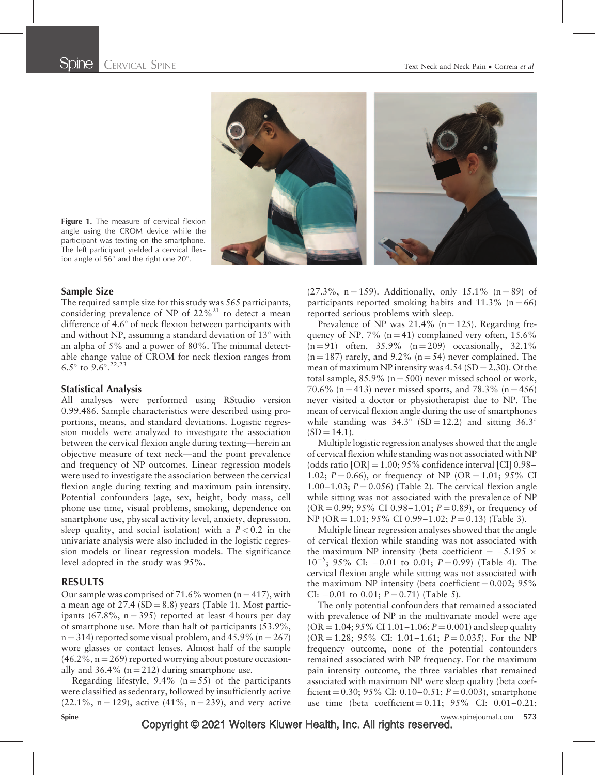



Figure 1. The measure of cervical flexion angle using the CROM device while the participant was texting on the smartphone. The left participant yielded a cervical flexion angle of  $56^{\circ}$  and the right one  $20^{\circ}$ .

## Sample Size

The required sample size for this study was 565 participants, considering prevalence of NP of  $22\%^{21}$  to detect a mean difference of  $4.6^{\circ}$  of neck flexion between participants with and without NP, assuming a standard deviation of  $13^{\circ}$  with an alpha of 5% and a power of 80%. The minimal detectable change value of CROM for neck flexion ranges from 6.5 $^{\circ}$  to 9.6 $^{\circ}$ .<sup>22,23</sup>

### Statistical Analysis

All analyses were performed using RStudio version 0.99.486. Sample characteristics were described using proportions, means, and standard deviations. Logistic regression models were analyzed to investigate the association between the cervical flexion angle during texting—herein an objective measure of text neck—and the point prevalence and frequency of NP outcomes. Linear regression models were used to investigate the association between the cervical flexion angle during texting and maximum pain intensity. Potential confounders (age, sex, height, body mass, cell phone use time, visual problems, smoking, dependence on smartphone use, physical activity level, anxiety, depression, sleep quality, and social isolation) with a  $P < 0.2$  in the univariate analysis were also included in the logistic regression models or linear regression models. The significance level adopted in the study was 95%.

## RESULTS

Our sample was comprised of 71.6% women  $(n = 417)$ , with a mean age of  $27.4$  (SD = 8.8) years (Table 1). Most participants (67.8%,  $n = 395$ ) reported at least 4 hours per day of smartphone use. More than half of participants (53.9%,  $n = 314$ ) reported some visual problem, and 45.9% ( $n = 267$ ) wore glasses or contact lenses. Almost half of the sample  $(46.2\%, n = 269)$  reported worrying about posture occasionally and 36.4% ( $n = 212$ ) during smartphone use.

Regarding lifestyle,  $9.4\%$  (n = 55) of the participants were classified as sedentary, followed by insufficiently active  $(22.1\%, n = 129)$ , active  $(41\%, n = 239)$ , and very active  $(27.3\%, n=159)$ . Additionally, only 15.1% (n = 89) of participants reported smoking habits and  $11.3\%$  (n = 66) reported serious problems with sleep.

Prevalence of NP was  $21.4\%$  (n = 125). Regarding frequency of NP, 7% (n = 41) complained very often,  $15.6\%$  $(n = 91)$  often, 35.9%  $(n = 209)$  occasionally, 32.1%  $(n = 187)$  rarely, and 9.2%  $(n = 54)$  never complained. The mean of maximum NP intensity was  $4.54$  (SD = 2.30). Of the total sample,  $85.9\%$  (n = 500) never missed school or work, 70.6% (n = 413) never missed sports, and 78.3% (n = 456) never visited a doctor or physiotherapist due to NP. The mean of cervical flexion angle during the use of smartphones while standing was  $34.3^{\circ}$  (SD = 12.2) and sitting  $36.3^{\circ}$  $(SD = 14.1).$ 

Multiple logistic regression analyses showed that the angle of cervical flexion while standing was not associated with NP (odds ratio  $[OR] = 1.00$ ; 95% confidence interval  $[CI]$  0.98– 1.02;  $P = 0.66$ ), or frequency of NP (OR = 1.01; 95% CI 1.00–1.03;  $P = 0.056$ ) (Table 2). The cervical flexion angle while sitting was not associated with the prevalence of NP  $(OR = 0.99; 95\% \text{ CI } 0.98-1.01; P = 0.89)$ , or frequency of  $NP (OR = 1.01; 95\% CI 0.99 - 1.02; P = 0.13)$  (Table 3).

Multiple linear regression analyses showed that the angle of cervical flexion while standing was not associated with the maximum NP intensity (beta coefficient  $=$  -5.195  $\times$  $10^{-5}$ ; 95% CI: -0.01 to 0.01;  $P = 0.99$ ) (Table 4). The cervical flexion angle while sitting was not associated with the maximum NP intensity (beta coefficient  $= 0.002$ ; 95% CI:  $-0.01$  to 0.01;  $P = 0.71$ ) (Table 5).

The only potential confounders that remained associated with prevalence of NP in the multivariate model were age  $(OR = 1.04; 95\% \text{ CI } 1.01 - 1.06; P = 0.001)$  and sleep quality  $(OR = 1.28; 95\% \text{ CI: } 1.01 - 1.61; P = 0.035)$ . For the NP frequency outcome, none of the potential confounders remained associated with NP frequency. For the maximum pain intensity outcome, the three variables that remained associated with maximum NP were sleep quality (beta coefficient = 0.30; 95% CI: 0.10–0.51;  $P = 0.003$ ), smartphone use time (beta coefficient = 0.11; 95% CI: 0.01–0.21;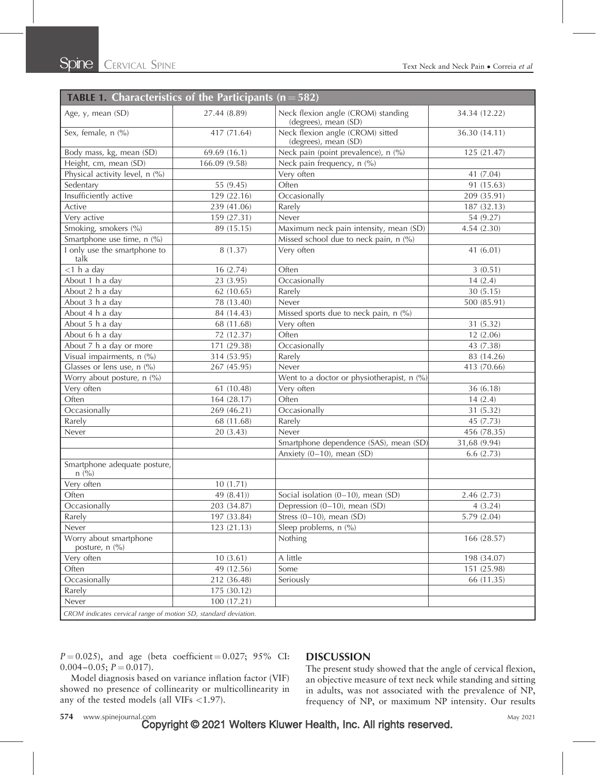| <b>TABLE 1. Characteristics of the Participants (n = 582)</b>   |               |                                                            |               |
|-----------------------------------------------------------------|---------------|------------------------------------------------------------|---------------|
| Age, y, mean (SD)                                               | 27.44 (8.89)  | Neck flexion angle (CROM) standing<br>(degrees), mean (SD) | 34.34 (12.22) |
| Sex, female, n (%)                                              | 417 (71.64)   | Neck flexion angle (CROM) sitted<br>(degrees), mean (SD)   | 36.30 (14.11) |
| Body mass, kg, mean (SD)                                        | 69.69 (16.1)  | Neck pain (point prevalence), n (%)                        | 125 (21.47)   |
| Height, cm, mean (SD)                                           | 166.09 (9.58) | Neck pain frequency, n (%)                                 |               |
| Physical activity level, n (%)                                  |               | Very often                                                 | 41 (7.04)     |
| Sedentary                                                       | 55 (9.45)     | Often                                                      | 91 (15.63)    |
| Insufficiently active                                           | 129 (22.16)   | Occasionally                                               | 209 (35.91)   |
| Active                                                          | 239 (41.06)   | Rarely                                                     | 187 (32.13)   |
| Very active                                                     | 159 (27.31)   | Never                                                      | 54 (9.27)     |
| Smoking, smokers (%)                                            | 89 (15.15)    | Maximum neck pain intensity, mean (SD)                     | 4.54 (2.30)   |
| Smartphone use time, n (%)                                      |               | Missed school due to neck pain, n (%)                      |               |
| I only use the smartphone to<br>talk                            | 8(1.37)       | Very often                                                 | 41 (6.01)     |
| $<$ 1 h a day                                                   | 16(2.74)      | Often                                                      | 3(0.51)       |
| About 1 h a day                                                 | 23 (3.95)     | Occasionally                                               | 14(2.4)       |
| About 2 h a day                                                 | 62 (10.65)    | Rarely                                                     | 30(5.15)      |
| About 3 h a day                                                 | 78 (13.40)    | Never                                                      | 500 (85.91)   |
| About 4 h a day                                                 | 84 (14.43)    | Missed sports due to neck pain, n (%)                      |               |
| About 5 h a day                                                 | 68 (11.68)    | Very often                                                 | 31 (5.32)     |
| About 6 h a day                                                 | 72 (12.37)    | Often                                                      | 12(2.06)      |
| About 7 h a day or more                                         | 171 (29.38)   | Occasionally                                               | 43 (7.38)     |
| Visual impairments, n (%)                                       | 314 (53.95)   | Rarely                                                     | 83 (14.26)    |
| Glasses or lens use, n (%)                                      | 267 (45.95)   | Never                                                      | 413 (70.66)   |
| Worry about posture, n (%)                                      |               | Went to a doctor or physiotherapist, n (%)                 |               |
| Very often                                                      | 61 (10.48)    | Very often                                                 | 36 (6.18)     |
| Often                                                           | 164 (28.17)   | Often                                                      | 14(2.4)       |
| Occasionally                                                    | 269 (46.21)   | Occasionally                                               | 31 (5.32)     |
| Rarely                                                          | 68 (11.68)    | Rarely                                                     | 45 (7.73)     |
| Never                                                           | 20 (3.43)     | Never                                                      | 456 (78.35)   |
|                                                                 |               | Smartphone dependence (SAS), mean (SD)                     | 31,68 (9.94)  |
|                                                                 |               | Anxiety (0-10), mean (SD)                                  | 6.6(2.73)     |
| Smartphone adequate posture,<br>n (%)                           |               |                                                            |               |
| Very often                                                      | 10(1.71)      |                                                            |               |
| Often                                                           | 49 (8.41))    | Social isolation $(0-10)$ , mean $(SD)$                    | 2.46 (2.73)   |
| Occasionally                                                    | 203 (34.87)   | Depression $(0-10)$ , mean $(SD)$                          | 4(3.24)       |
| Rarely                                                          | 197 (33.84)   | Stress $(0-10)$ , mean $(SD)$                              | 5.79(2.04)    |
| Never                                                           | 123 (21.13)   | Sleep problems, n (%)                                      |               |
| Worry about smartphone<br>posture, n (%)                        |               | Nothing                                                    | 166 (28.57)   |
| Very often                                                      | 10(3.61)      | A little                                                   | 198 (34.07)   |
| Often                                                           | 49 (12.56)    | Some                                                       | 151 (25.98)   |
| Occasionally                                                    | 212 (36.48)   | Seriously                                                  | 66 (11.35)    |
| Rarely                                                          | 175 (30.12)   |                                                            |               |
| Never                                                           | 100 (17.21)   |                                                            |               |
| CROM indicates cervical range of motion SD, standard deviation. |               |                                                            |               |

 $P = 0.025$ , and age (beta coefficient = 0.027; 95% CI:  $0.004 - 0.05$ ;  $P = 0.017$ ).

## Model diagnosis based on variance inflation factor (VIF) showed no presence of collinearity or multicollinearity in any of the tested models (all VIFs  $<$ 1.97).

## **DISCUSSION**

The present study showed that the angle of cervical flexion, an objective measure of text neck while standing and sitting in adults, was not associated with the prevalence of NP, frequency of NP, or maximum NP intensity. Our results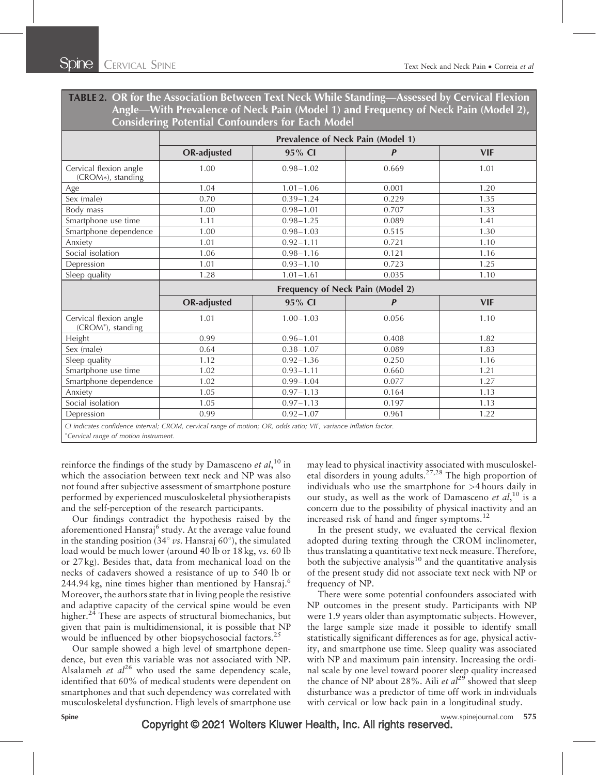TABLE 2. OR for the Association Between Text Neck While Standing—Assessed by Cervical Flexion Angle—With Prevalence of Neck Pain (Model 1) and Frequency of Neck Pain (Model 2), Considering Potential Confounders for Each Model

|                                                                                                                   | Prevalence of Neck Pain (Model 1) |               |                  |            |
|-------------------------------------------------------------------------------------------------------------------|-----------------------------------|---------------|------------------|------------|
|                                                                                                                   | <b>OR-adjusted</b>                | 95% CI        | $\boldsymbol{P}$ | <b>VIF</b> |
| Cervical flexion angle<br>(CROM*), standing                                                                       | 1.00                              | $0.98 - 1.02$ | 0.669            | 1.01       |
| Age                                                                                                               | 1.04                              | $1.01 - 1.06$ | 0.001            | 1.20       |
| Sex (male)                                                                                                        | 0.70                              | $0.39 - 1.24$ | 0.229            | 1.35       |
| Body mass                                                                                                         | 1.00                              | $0.98 - 1.01$ | 0.707            | 1.33       |
| Smartphone use time                                                                                               | 1.11                              | $0.98 - 1.25$ | 0.089            | 1.41       |
| Smartphone dependence                                                                                             | 1.00                              | $0.98 - 1.03$ | 0.515            | 1.30       |
| Anxiety                                                                                                           | 1.01                              | $0.92 - 1.11$ | 0.721            | 1.10       |
| Social isolation                                                                                                  | 1.06                              | $0.98 - 1.16$ | 0.121            | 1.16       |
| Depression                                                                                                        | 1.01                              | $0.93 - 1.10$ | 0.723            | 1.25       |
| Sleep quality                                                                                                     | 1.28                              | $1.01 - 1.61$ | 0.035            | 1.10       |
|                                                                                                                   | Frequency of Neck Pain (Model 2)  |               |                  |            |
|                                                                                                                   | <b>OR-adjusted</b>                | 95% CI        | $\boldsymbol{P}$ | <b>VIF</b> |
| Cervical flexion angle<br>(CROM <sup>*</sup> ), standing                                                          | 1.01                              | $1.00 - 1.03$ | 0.056            | 1.10       |
| Height                                                                                                            | 0.99                              | $0.96 - 1.01$ | 0.408            | 1.82       |
| Sex (male)                                                                                                        | 0.64                              | $0.38 - 1.07$ | 0.089            | 1.83       |
| Sleep quality                                                                                                     | 1.12                              | $0.92 - 1.36$ | 0.250            | 1.16       |
| Smartphone use time                                                                                               | 1.02                              | $0.93 - 1.11$ | 0.660            | 1.21       |
| Smartphone dependence                                                                                             | 1.02                              | $0.99 - 1.04$ | 0.077            | 1.27       |
| Anxiety                                                                                                           | 1.05                              | $0.97 - 1.13$ | 0.164            | 1.13       |
| Social isolation                                                                                                  | 1.05                              | $0.97 - 1.13$ | 0.197            | 1.13       |
| Depression                                                                                                        | 0.99                              | $0.92 - 1.07$ | 0.961            | 1.22       |
| CI indicates confidence interval; CROM, cervical range of motion; OR, odds ratio; VIF, variance inflation factor. |                                   |               |                  |            |

Cervical range of motion instrument.

reinforce the findings of the study by Damasceno et  $al$ ,  $10$  in which the association between text neck and NP was also not found after subjective assessment of smartphone posture performed by experienced musculoskeletal physiotherapists and the self-perception of the research participants.

Our findings contradict the hypothesis raised by the aforementioned Hansraj<sup>6</sup> study. At the average value found in the standing position (34 $\degree$  vs. Hansraj 60 $\degree$ ), the simulated load would be much lower (around 40 lb or 18 kg, vs. 60 lb or 27 kg). Besides that, data from mechanical load on the necks of cadavers showed a resistance of up to 540 lb or 244.94 kg, nine times higher than mentioned by Hansraj.<sup>6</sup> Moreover, the authors state that in living people the resistive and adaptive capacity of the cervical spine would be even higher.<sup>24</sup> These are aspects of structural biomechanics, but given that pain is multidimensional, it is possible that NP would be influenced by other biopsychosocial factors.<sup>25</sup>

Our sample showed a high level of smartphone dependence, but even this variable was not associated with NP. Alsalameh et  $al^{26}$  who used the same dependency scale, identified that 60% of medical students were dependent on smartphones and that such dependency was correlated with musculoskeletal dysfunction. High levels of smartphone use may lead to physical inactivity associated with musculoskeletal disorders in young adults.27,28 The high proportion of individuals who use the smartphone for >4 hours daily in our study, as well as the work of Damasceno et  $al$ ,  $10$  is a concern due to the possibility of physical inactivity and an increased risk of hand and finger symptoms.<sup>12</sup>

In the present study, we evaluated the cervical flexion adopted during texting through the CROM inclinometer, thus translating a quantitative text neck measure. Therefore, both the subjective analysis $10$  and the quantitative analysis of the present study did not associate text neck with NP or frequency of NP.

There were some potential confounders associated with NP outcomes in the present study. Participants with NP were 1.9 years older than asymptomatic subjects. However, the large sample size made it possible to identify small statistically significant differences as for age, physical activity, and smartphone use time. Sleep quality was associated with NP and maximum pain intensity. Increasing the ordinal scale by one level toward poorer sleep quality increased the chance of NP about 28%. Aili et  $al^{29}$  showed that sleep disturbance was a predictor of time off work in individuals with cervical or low back pain in a longitudinal study.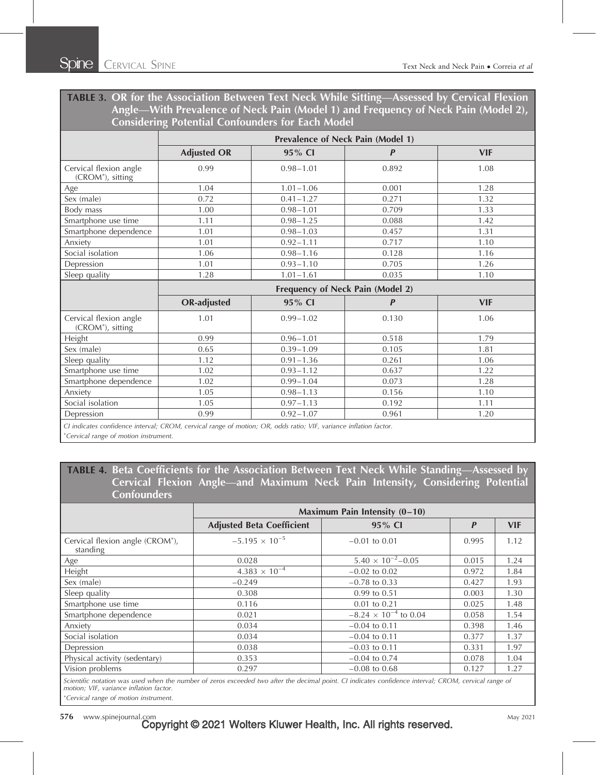TABLE 3. OR for the Association Between Text Neck While Sitting—Assessed by Cervical Flexion Angle—With Prevalence of Neck Pain (Model 1) and Frequency of Neck Pain (Model 2), Considering Potential Confounders for Each Model

|                                                         | <b>Prevalence of Neck Pain (Model 1)</b> |               |                  |            |
|---------------------------------------------------------|------------------------------------------|---------------|------------------|------------|
|                                                         | <b>Adjusted OR</b>                       | 95% CI        | $\boldsymbol{P}$ | <b>VIF</b> |
| Cervical flexion angle<br>(CROM <sup>*</sup> ), sitting | 0.99                                     | $0.98 - 1.01$ | 0.892            | 1.08       |
| Age                                                     | 1.04                                     | $1.01 - 1.06$ | 0.001            | 1.28       |
| Sex (male)                                              | 0.72                                     | $0.41 - 1.27$ | 0.271            | 1.32       |
| Body mass                                               | 1.00                                     | $0.98 - 1.01$ | 0.709            | 1.33       |
| Smartphone use time                                     | 1.11                                     | $0.98 - 1.25$ | 0.088            | 1.42       |
| Smartphone dependence                                   | 1.01                                     | $0.98 - 1.03$ | 0.457            | 1.31       |
| Anxiety                                                 | 1.01                                     | $0.92 - 1.11$ | 0.717            | 1.10       |
| Social isolation                                        | 1.06                                     | $0.98 - 1.16$ | 0.128            | 1.16       |
| Depression                                              | 1.01                                     | $0.93 - 1.10$ | 0.705            | 1.26       |
| Sleep quality                                           | 1.28                                     | $1.01 - 1.61$ | 0.035            | 1.10       |
|                                                         | Frequency of Neck Pain (Model 2)         |               |                  |            |
|                                                         | <b>OR-adjusted</b>                       | 95% CI        | $\boldsymbol{P}$ | <b>VIF</b> |
| Cervical flexion angle<br>(CROM <sup>*</sup> ), sitting | 1.01                                     | $0.99 - 1.02$ | 0.130            | 1.06       |
| Height                                                  | 0.99                                     | $0.96 - 1.01$ | 0.518            | 1.79       |
| Sex (male)                                              | 0.65                                     | $0.39 - 1.09$ | 0.105            | 1.81       |
| Sleep quality                                           | 1.12                                     | $0.91 - 1.36$ | 0.261            | 1.06       |
| Smartphone use time                                     | 1.02                                     | $0.93 - 1.12$ | 0.637            | 1.22       |
| Smartphone dependence                                   | 1.02                                     | $0.99 - 1.04$ | 0.073            | 1.28       |
| Anxiety                                                 | 1.05                                     | $0.98 - 1.13$ | 0.156            | 1.10       |
| Social isolation                                        | 1.05                                     | $0.97 - 1.13$ | 0.192            | 1.11       |
|                                                         |                                          |               |                  |            |
| Depression                                              | 0.99                                     | $0.92 - 1.07$ | 0.961            | 1.20       |

Cervical range of motion instrument.

TABLE 4. Beta Coefficients for the Association Between Text Neck While Standing—Assessed by Cervical Flexion Angle—and Maximum Neck Pain Intensity, Considering Potential **Confounders** 

|                                                          | Maximum Pain Intensity $(0-10)$  |                                |       |            |
|----------------------------------------------------------|----------------------------------|--------------------------------|-------|------------|
|                                                          | <b>Adjusted Beta Coefficient</b> | 95% CI                         | P     | <b>VIF</b> |
| Cervical flexion angle (CROM <sup>*</sup> ),<br>standing | $-5.195 \times 10^{-5}$          | $-0.01$ to 0.01                | 0.995 | 1.12       |
| Age                                                      | 0.028                            | $5.40 \times 10^{-2} - 0.05$   | 0.015 | 1.24       |
| Height                                                   | $4.383 \times 10^{-4}$           | $-0.02$ to 0.02                | 0.972 | 1.84       |
| Sex (male)                                               | $-0.249$                         | $-0.78$ to 0.33                | 0.427 | 1.93       |
| Sleep quality                                            | 0.308                            | 0.99 to 0.51                   | 0.003 | 1.30       |
| Smartphone use time                                      | 0.116                            | $0.01$ to $0.21$               | 0.025 | 1.48       |
| Smartphone dependence                                    | 0.021                            | $-8.24 \times 10^{-4}$ to 0.04 | 0.058 | 1.54       |
| Anxiety                                                  | 0.034                            | $-0.04$ to 0.11                | 0.398 | 1.46       |
| Social isolation                                         | 0.034                            | $-0.04$ to 0.11                | 0.377 | 1.37       |
| Depression                                               | 0.038                            | $-0.03$ to 0.11                | 0.331 | 1.97       |
| Physical activity (sedentary)                            | 0.353                            | $-0.04$ to 0.74                | 0.078 | 1.04       |
| Vision problems                                          | 0.297                            | $-0.08$ to 0.68                | 0.127 | 1.27       |

Scientific notation was used when the number of zeros exceeded two after the decimal point. CI indicates confidence interval; CROM, cervical range of motion; VIF, variance inflation factor.

Cervical range of motion instrument.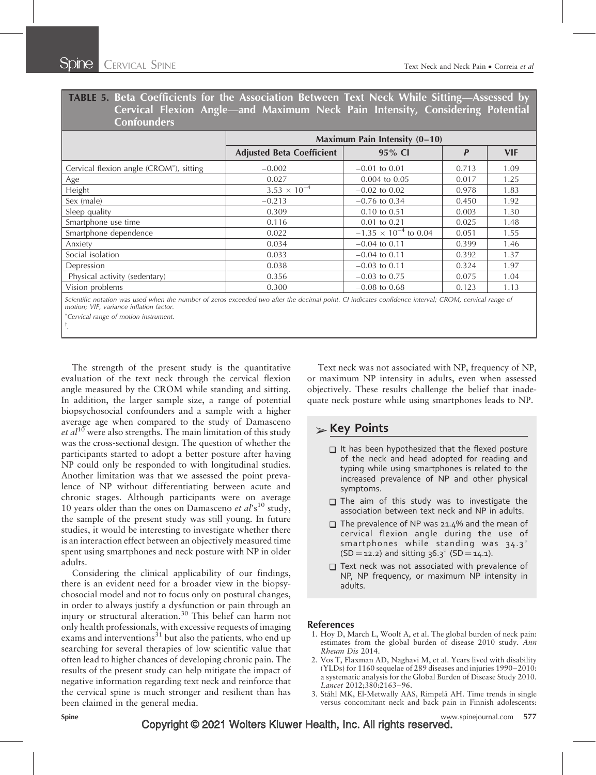# TABLE 5. Beta Coefficients for the Association Between Text Neck While Sitting—Assessed by Cervical Flexion Angle—and Maximum Neck Pain Intensity, Considering Potential **Confounders**

| Maximum Pain Intensity (0-10)    |                                |                  |            |
|----------------------------------|--------------------------------|------------------|------------|
| <b>Adjusted Beta Coefficient</b> | 95% CI                         | $\boldsymbol{P}$ | <b>VIF</b> |
| $-0.002$                         | $-0.01$ to 0.01                | 0.713            | 1.09       |
| 0.027                            | $0.004$ to $0.05$              | 0.017            | 1.25       |
| $3.53 \times 10^{-4}$            | $-0.02$ to 0.02                | 0.978            | 1.83       |
| $-0.213$                         | $-0.76$ to 0.34                | 0.450            | 1.92       |
| 0.309                            | $0.10 \text{ to } 0.51$        | 0.003            | 1.30       |
| 0.116                            | $0.01$ to $0.21$               | 0.025            | 1.48       |
| 0.022                            | $-1.35 \times 10^{-4}$ to 0.04 | 0.051            | 1.55       |
| 0.034                            | $-0.04$ to 0.11                | 0.399            | 1.46       |
| 0.033                            | $-0.04$ to 0.11                | 0.392            | 1.37       |
| 0.038                            | $-0.03$ to 0.11                | 0.324            | 1.97       |
| 0.356                            | $-0.03$ to 0.75                | 0.075            | 1.04       |
| 0.300                            | $-0.08$ to 0.68                | 0.123            | 1.13       |
|                                  |                                |                  |            |

Scientific notation was used when the number of zeros exceeded two after the decimal point. CI indicates confidence interval; CROM, cervical range of motion; VIF, variance inflation factor.

Cervical range of motion instrument.

 $\dagger$ .

The strength of the present study is the quantitative evaluation of the text neck through the cervical flexion angle measured by the CROM while standing and sitting. In addition, the larger sample size, a range of potential biopsychosocial confounders and a sample with a higher average age when compared to the study of Damasceno *et al*<sup>10</sup> were also strengths. The main limitation of this study was the cross-sectional design. The question of whether the participants started to adopt a better posture after having NP could only be responded to with longitudinal studies. Another limitation was that we assessed the point prevalence of NP without differentiating between acute and chronic stages. Although participants were on average 10 years older than the ones on Damasceno et  $al$ 's<sup>10</sup> study, the sample of the present study was still young. In future studies, it would be interesting to investigate whether there is an interaction effect between an objectively measured time spent using smartphones and neck posture with NP in older adults.

Considering the clinical applicability of our findings, there is an evident need for a broader view in the biopsychosocial model and not to focus only on postural changes, in order to always justify a dysfunction or pain through an injury or structural alteration.<sup>30</sup> This belief can harm not only health professionals, with excessive requests of imaging exams and interventions<sup>31</sup> but also the patients, who end up searching for several therapies of low scientific value that often lead to higher chances of developing chronic pain. The results of the present study can help mitigate the impact of negative information regarding text neck and reinforce that the cervical spine is much stronger and resilient than has been claimed in the general media.

Text neck was not associated with NP, frequency of NP, or maximum NP intensity in adults, even when assessed objectively. These results challenge the belief that inadequate neck posture while using smartphones leads to NP.

# $\triangleright$  Key Points

- $\Box$  It has been hypothesized that the flexed posture of the neck and head adopted for reading and typing while using smartphones is related to the increased prevalence of NP and other physical symptoms.
- $\Box$  The aim of this study was to investigate the association between text neck and NP in adults.
- The prevalence of NP was 21.4% and the mean of cervical flexion angle during the use of smartphones while standing was  $34.3^\circ$  $(SD = 12.2)$  and sitting 36.3° (SD = 14.1).
- $\Box$  Text neck was not associated with prevalence of NP, NP frequency, or maximum NP intensity in adults.

#### References

- 1. Hoy D, March L, Woolf A, et al. The global burden of neck pain: estimates from the global burden of disease 2010 study. Ann Rheum Dis 2014.
- 2. Vos T, Flaxman AD, Naghavi M, et al. Years lived with disability (YLDs) for 1160 sequelae of 289 diseases and injuries 1990–2010: a systematic analysis for the Global Burden of Disease Study 2010. Lancet 2012;380:2163–96.
- 3. Ståhl MK, El-Metwally AAS, Rimpelä AH. Time trends in single versus concomitant neck and back pain in Finnish adolescents: